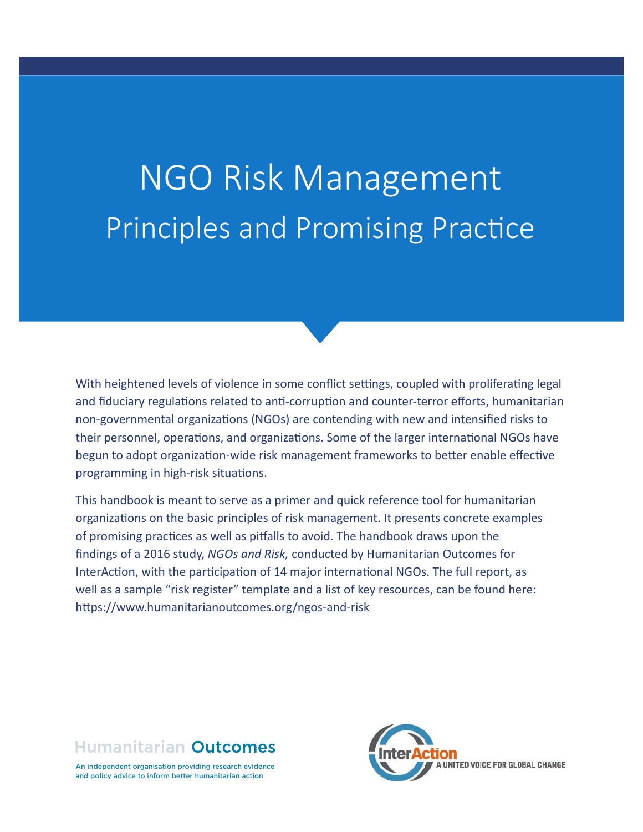# NGO Risk Management Principles and Promising Practice

With heightened levels of violence in some conflict settings, coupled with proliferating legal and fiduciary regulations related to anti-corruption and counter-terror efforts, humanitarian non-governmental organizations (NGOs) are contending with new and intensified risks to their personnel, operations, and organizations. Some of the larger international NGOs have begun to adopt organization-wide risk management frameworks to better enable effective programming in high-risk situations.

This handbook is meant to serve as a primer and quick reference tool for humanitarian organizations on the basic principles of risk management. It presents concrete examples of promising practices as well as pitfalls to avoid. The handbook draws upon the findings of a 2016 study, *NGOs and Risk,* conducted by Humanitarian Outcomes for InterAction, with the participation of 14 major international NGOs. The full report, as well as a sample "risk register" template and a list of key resources, can be found here: https://www.humanitarianoutcomes.org/ngos-and-risk



An independent organisation providing research evidence and policy advice to inform better humanitarian action

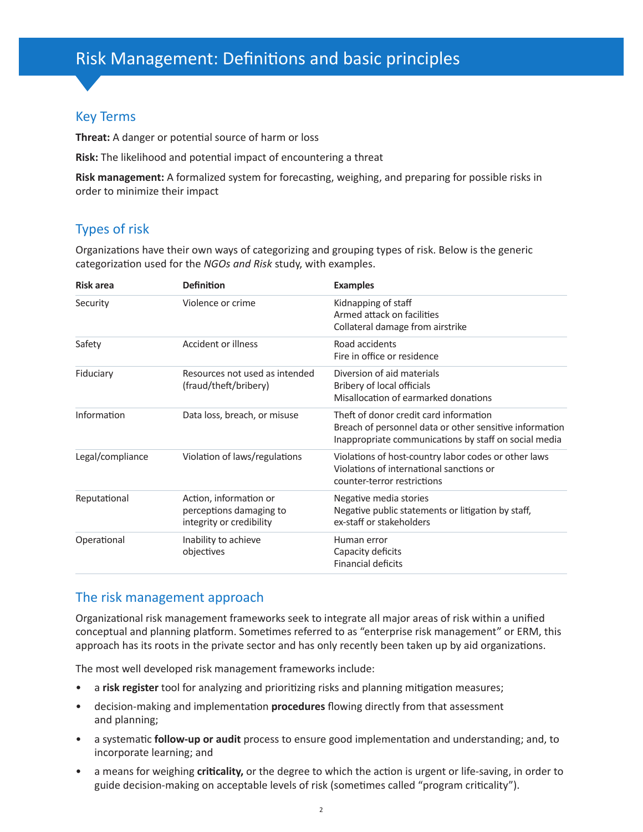## Key Terms

**Threat:** A danger or potential source of harm or loss

**Risk:** The likelihood and potential impact of encountering a threat

**Risk management:** A formalized system for forecasting, weighing, and preparing for possible risks in order to minimize their impact

## Types of risk

Organizations have their own ways of categorizing and grouping types of risk. Below is the generic categorization used for the *NGOs and Risk* study, with examples.

| <b>Risk area</b> | <b>Definition</b>                                                             | <b>Examples</b>                                                                                                                                            |  |  |  |
|------------------|-------------------------------------------------------------------------------|------------------------------------------------------------------------------------------------------------------------------------------------------------|--|--|--|
| Security         | Violence or crime                                                             | Kidnapping of staff<br>Armed attack on facilities<br>Collateral damage from airstrike                                                                      |  |  |  |
| Safety           | <b>Accident or illness</b>                                                    | Road accidents<br>Fire in office or residence                                                                                                              |  |  |  |
| Fiduciary        | Resources not used as intended<br>(fraud/theft/bribery)                       | Diversion of aid materials<br>Bribery of local officials<br>Misallocation of earmarked donations                                                           |  |  |  |
| Information      | Data loss, breach, or misuse                                                  | Theft of donor credit card information<br>Breach of personnel data or other sensitive information<br>Inappropriate communications by staff on social media |  |  |  |
| Legal/compliance | Violation of laws/regulations                                                 | Violations of host-country labor codes or other laws<br>Violations of international sanctions or<br>counter-terror restrictions                            |  |  |  |
| Reputational     | Action, information or<br>perceptions damaging to<br>integrity or credibility | Negative media stories<br>Negative public statements or litigation by staff,<br>ex-staff or stakeholders                                                   |  |  |  |
| Operational      | Inability to achieve<br>objectives                                            | Human error<br>Capacity deficits<br><b>Financial deficits</b>                                                                                              |  |  |  |

### The risk management approach

Organizational risk management frameworks seek to integrate all major areas of risk within a unified conceptual and planning platform. Sometimes referred to as "enterprise risk management" or ERM, this approach has its roots in the private sector and has only recently been taken up by aid organizations.

The most well developed risk management frameworks include:

- a **risk register** tool for analyzing and prioritizing risks and planning mitigation measures;
- decision-making and implementation **procedures** flowing directly from that assessment and planning;
- a systematic **follow-up or audit** process to ensure good implementation and understanding; and, to incorporate learning; and
- a means for weighing **criticality,** or the degree to which the action is urgent or life-saving, in order to guide decision-making on acceptable levels of risk (sometimes called "program criticality").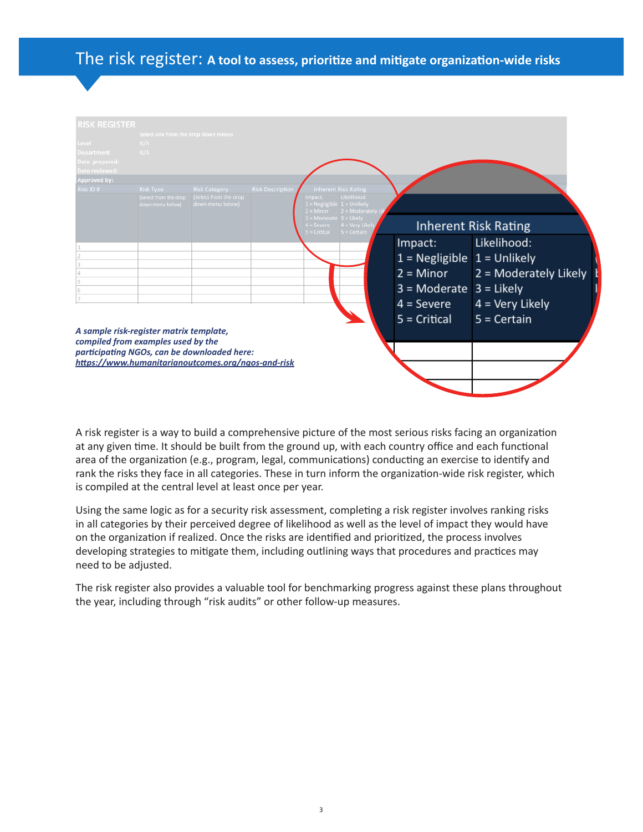# The risk register: **A tool to assess, prioritize and mitigate organization-wide risks**

| <b>RISK REGISTER</b><br>Level<br>Department<br>Date prepared:<br>Date reviewed:                                                                                                    | Select one from the drop down menus<br>N/A<br>N/A             |                                                                   |                         |                                                    |                                                                                                 |                               |                             |
|------------------------------------------------------------------------------------------------------------------------------------------------------------------------------------|---------------------------------------------------------------|-------------------------------------------------------------------|-------------------------|----------------------------------------------------|-------------------------------------------------------------------------------------------------|-------------------------------|-----------------------------|
| Approved by:                                                                                                                                                                       |                                                               |                                                                   |                         |                                                    |                                                                                                 |                               |                             |
| Risk ID#                                                                                                                                                                           | <b>Risk Type</b><br>(Select from the drop<br>down menu below) | <b>Risk Category</b><br>(Select from the drop<br>down menu below) | <b>Risk Description</b> | mpact:<br>$=$ Minor<br>$3 =$ Moderate $3 =$ Likely | <b>Inherent Risk Rating</b><br>Likelihood:<br>$1 = Negligible$ 1 = Unlikely<br>$2 =$ Moderately |                               |                             |
|                                                                                                                                                                                    |                                                               |                                                                   |                         | = Severe<br>Critical                               | $4 =$ Very Like<br>$5 =$ Certain                                                                |                               | <b>Inherent Risk Rating</b> |
|                                                                                                                                                                                    |                                                               |                                                                   |                         |                                                    |                                                                                                 | Impact:                       | Likelihood:                 |
|                                                                                                                                                                                    |                                                               |                                                                   |                         |                                                    |                                                                                                 | $1 = Negligible$ 1 = Unlikely |                             |
|                                                                                                                                                                                    |                                                               |                                                                   |                         |                                                    |                                                                                                 | $2 =$ Minor                   | 2 = Moderately Likely       |
|                                                                                                                                                                                    |                                                               |                                                                   |                         |                                                    |                                                                                                 | $3 =$ Moderate                | $3 =$ Likely                |
|                                                                                                                                                                                    |                                                               |                                                                   |                         |                                                    |                                                                                                 |                               |                             |
|                                                                                                                                                                                    |                                                               |                                                                   |                         |                                                    |                                                                                                 | $4 =$ Severe                  | $4 =$ Very Likely           |
| A sample risk-register matrix template,<br>compiled from examples used by the<br>participating NGOs, can be downloaded here:<br>https://www.humanitarianoutcomes.org/ngos-and-risk |                                                               |                                                                   |                         |                                                    |                                                                                                 | $5 =$ Critical                | $5 =$ Certain               |

A risk register is a way to build a comprehensive picture of the most serious risks facing an organization at any given time. It should be built from the ground up, with each country office and each functional area of the organization (e.g., program, legal, communications) conducting an exercise to identify and rank the risks they face in all categories. These in turn inform the organization-wide risk register, which is compiled at the central level at least once per year.

Using the same logic as for a security risk assessment, completing a risk register involves ranking risks in all categories by their perceived degree of likelihood as well as the level of impact they would have on the organization if realized. Once the risks are identified and prioritized, the process involves developing strategies to mitigate them, including outlining ways that procedures and practices may need to be adjusted.

The risk register also provides a valuable tool for benchmarking progress against these plans throughout the year, including through "risk audits" or other follow-up measures.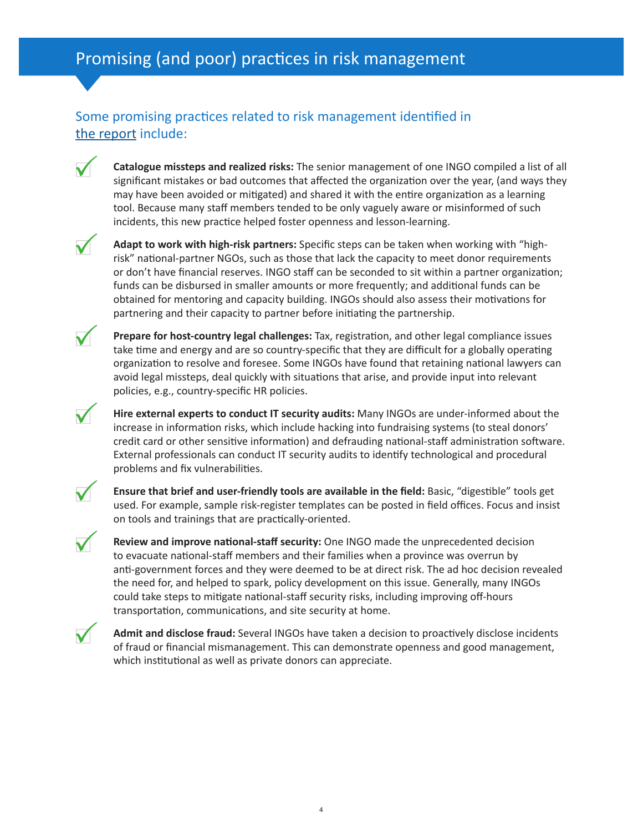## Some promising practices related to risk management identified in [the report](https://www.humanitarianoutcomes.org/sites/default/files/ngo-risk_report.pdf) include:

**Catalogue missteps and realized risks:** The senior management of one INGO compiled a list of all significant mistakes or bad outcomes that affected the organization over the year, (and ways they may have been avoided or mitigated) and shared it with the entire organization as a learning tool. Because many staff members tended to be only vaguely aware or misinformed of such incidents, this new practice helped foster openness and lesson-learning.



**Adapt to work with high-risk partners:** Specific steps can be taken when working with "highrisk" national-partner NGOs, such as those that lack the capacity to meet donor requirements or don't have financial reserves. INGO staff can be seconded to sit within a partner organization; funds can be disbursed in smaller amounts or more frequently; and additional funds can be obtained for mentoring and capacity building. INGOs should also assess their motivations for partnering and their capacity to partner before initiating the partnership.

**Prepare for host-country legal challenges:** Tax, registration, and other legal compliance issues take time and energy and are so country-specific that they are difficult for a globally operating organization to resolve and foresee. Some INGOs have found that retaining national lawyers can avoid legal missteps, deal quickly with situations that arise, and provide input into relevant policies, e.g., country-specific HR policies.

**Hire external experts to conduct IT security audits:** Many INGOs are under-informed about the increase in information risks, which include hacking into fundraising systems (to steal donors' credit card or other sensitive information) and defrauding national-staff administration software. External professionals can conduct IT security audits to identify technological and procedural problems and fix vulnerabilities.

**Ensure that brief and user-friendly tools are available in the field:** Basic, "digestible" tools get used. For example, sample risk-register templates can be posted in field offices. Focus and insist on tools and trainings that are practically-oriented.

**Review and improve national-staff security:** One INGO made the unprecedented decision to evacuate national-staff members and their families when a province was overrun by anti-government forces and they were deemed to be at direct risk. The ad hoc decision revealed the need for, and helped to spark, policy development on this issue. Generally, many INGOs could take steps to mitigate national-staff security risks, including improving off-hours transportation, communications, and site security at home.



**Admit and disclose fraud:** Several INGOs have taken a decision to proactively disclose incidents of fraud or financial mismanagement. This can demonstrate openness and good management, which institutional as well as private donors can appreciate.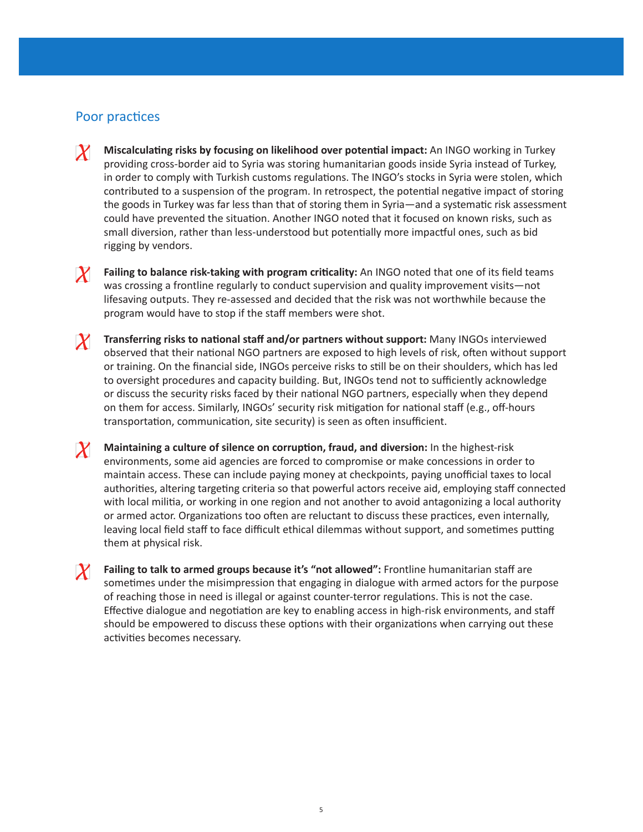## Poor practices

- **Miscalculating risks by focusing on likelihood over potential impact:** An INGO working in Turkey  $\boldsymbol{X}$ providing cross-border aid to Syria was storing humanitarian goods inside Syria instead of Turkey, in order to comply with Turkish customs regulations. The INGO's stocks in Syria were stolen, which contributed to a suspension of the program. In retrospect, the potential negative impact of storing the goods in Turkey was far less than that of storing them in Syria—and a systematic risk assessment could have prevented the situation. Another INGO noted that it focused on known risks, such as small diversion, rather than less-understood but potentially more impactful ones, such as bid rigging by vendors.
- $X_{-}$  **Failing to balance risk-taking with program criticality:** An INGO noted that one of its field teams was crossing a frontline regularly to conduct supervision and quality improvement visits—not lifesaving outputs. They re-assessed and decided that the risk was not worthwhile because the program would have to stop if the staff members were shot.
- **Transferring risks to national staff and/or partners without support:** Many INGOs interviewed observed that their national NGO partners are exposed to high levels of risk, often without support or training. On the financial side, INGOs perceive risks to still be on their shoulders, which has led to oversight procedures and capacity building. But, INGOs tend not to sufficiently acknowledge or discuss the security risks faced by their national NGO partners, especially when they depend on them for access. Similarly, INGOs' security risk mitigation for national staff (e.g., off-hours transportation, communication, site security) is seen as often insufficient.
- **Maintaining a culture of silence on corruption, fraud, and diversion:** In the highest-risk environments, some aid agencies are forced to compromise or make concessions in order to maintain access. These can include paying money at checkpoints, paying unofficial taxes to local authorities, altering targeting criteria so that powerful actors receive aid, employing staff connected with local militia, or working in one region and not another to avoid antagonizing a local authority or armed actor. Organizations too often are reluctant to discuss these practices, even internally, leaving local field staff to face difficult ethical dilemmas without support, and sometimes putting them at physical risk.
- **The Failing to talk to armed groups because it's "not allowed":** Frontline humanitarian staff are sometimes under the misimpression that engaging in dialogue with armed actors for the purpose of reaching those in need is illegal or against counter-terror regulations. This is not the case. Effective dialogue and negotiation are key to enabling access in high-risk environments, and staff should be empowered to discuss these options with their organizations when carrying out these activities becomes necessary.